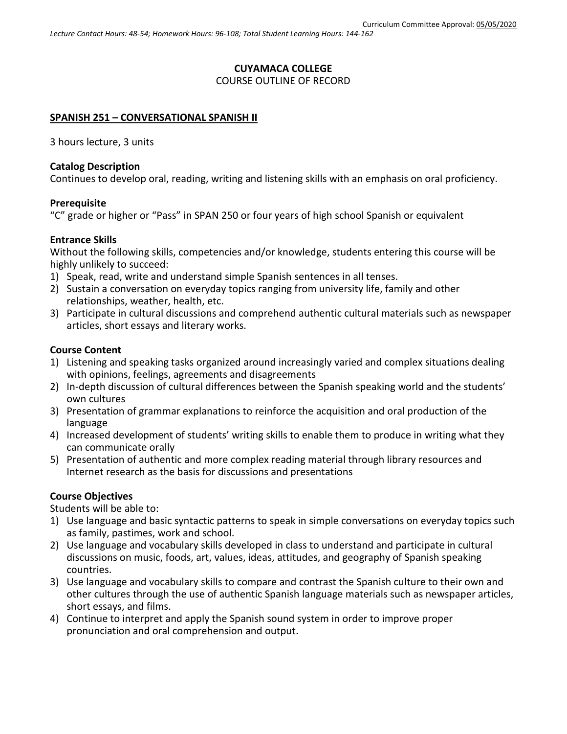# **CUYAMACA COLLEGE** COURSE OUTLINE OF RECORD

#### **SPANISH 251 – CONVERSATIONAL SPANISH II**

3 hours lecture, 3 units

# **Catalog Description**

Continues to develop oral, reading, writing and listening skills with an emphasis on oral proficiency.

#### **Prerequisite**

"C" grade or higher or "Pass" in SPAN 250 or four years of high school Spanish or equivalent

#### **Entrance Skills**

Without the following skills, competencies and/or knowledge, students entering this course will be highly unlikely to succeed:

- 1) Speak, read, write and understand simple Spanish sentences in all tenses.
- 2) Sustain a conversation on everyday topics ranging from university life, family and other relationships, weather, health, etc.
- 3) Participate in cultural discussions and comprehend authentic cultural materials such as newspaper articles, short essays and literary works.

# **Course Content**

- 1) Listening and speaking tasks organized around increasingly varied and complex situations dealing with opinions, feelings, agreements and disagreements
- 2) In-depth discussion of cultural differences between the Spanish speaking world and the students' own cultures
- 3) Presentation of grammar explanations to reinforce the acquisition and oral production of the language
- 4) Increased development of students' writing skills to enable them to produce in writing what they can communicate orally
- 5) Presentation of authentic and more complex reading material through library resources and Internet research as the basis for discussions and presentations

# **Course Objectives**

Students will be able to:

- 1) Use language and basic syntactic patterns to speak in simple conversations on everyday topics such as family, pastimes, work and school.
- 2) Use language and vocabulary skills developed in class to understand and participate in cultural discussions on music, foods, art, values, ideas, attitudes, and geography of Spanish speaking countries.
- 3) Use language and vocabulary skills to compare and contrast the Spanish culture to their own and other cultures through the use of authentic Spanish language materials such as newspaper articles, short essays, and films.
- 4) Continue to interpret and apply the Spanish sound system in order to improve proper pronunciation and oral comprehension and output.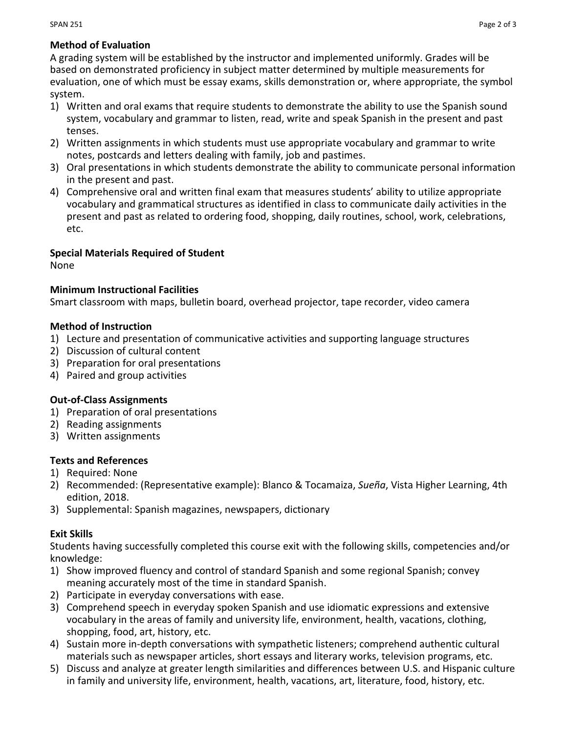# **Method of Evaluation**

A grading system will be established by the instructor and implemented uniformly. Grades will be based on demonstrated proficiency in subject matter determined by multiple measurements for evaluation, one of which must be essay exams, skills demonstration or, where appropriate, the symbol system.

- 1) Written and oral exams that require students to demonstrate the ability to use the Spanish sound system, vocabulary and grammar to listen, read, write and speak Spanish in the present and past tenses.
- 2) Written assignments in which students must use appropriate vocabulary and grammar to write notes, postcards and letters dealing with family, job and pastimes.
- 3) Oral presentations in which students demonstrate the ability to communicate personal information in the present and past.
- 4) Comprehensive oral and written final exam that measures students' ability to utilize appropriate vocabulary and grammatical structures as identified in class to communicate daily activities in the present and past as related to ordering food, shopping, daily routines, school, work, celebrations, etc.

# **Special Materials Required of Student**

None

# **Minimum Instructional Facilities**

Smart classroom with maps, bulletin board, overhead projector, tape recorder, video camera

# **Method of Instruction**

- 1) Lecture and presentation of communicative activities and supporting language structures
- 2) Discussion of cultural content
- 3) Preparation for oral presentations
- 4) Paired and group activities

# **Out-of-Class Assignments**

- 1) Preparation of oral presentations
- 2) Reading assignments
- 3) Written assignments

# **Texts and References**

- 1) Required: None
- 2) Recommended: (Representative example): Blanco & Tocamaiza, *Sueña*, Vista Higher Learning, 4th edition, 2018.
- 3) Supplemental: Spanish magazines, newspapers, dictionary

# **Exit Skills**

Students having successfully completed this course exit with the following skills, competencies and/or knowledge:

- 1) Show improved fluency and control of standard Spanish and some regional Spanish; convey meaning accurately most of the time in standard Spanish.
- 2) Participate in everyday conversations with ease.
- 3) Comprehend speech in everyday spoken Spanish and use idiomatic expressions and extensive vocabulary in the areas of family and university life, environment, health, vacations, clothing, shopping, food, art, history, etc.
- 4) Sustain more in-depth conversations with sympathetic listeners; comprehend authentic cultural materials such as newspaper articles, short essays and literary works, television programs, etc.
- 5) Discuss and analyze at greater length similarities and differences between U.S. and Hispanic culture in family and university life, environment, health, vacations, art, literature, food, history, etc.